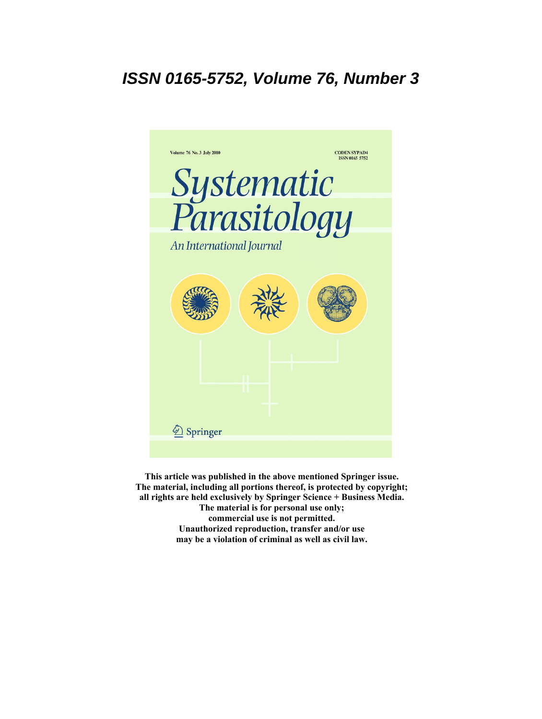# **ISSN 0165-5752, Volume 76, Number 3**



**This article was published in the above mentioned Springer issue. The material, including all portions thereof, is protected by copyright; all rights are held exclusively by Springer Science + Business Media. The material is for personal use only; commercial use is not permitted. Unauthorized reproduction, transfer and/or use may be a violation of criminal as well as civil law.**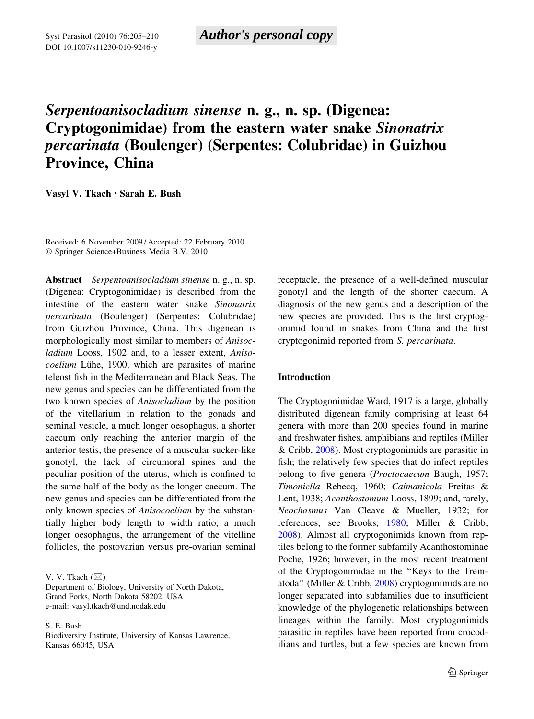# Serpentoanisocladium sinense n. g., n. sp. (Digenea: Cryptogonimidae) from the eastern water snake Sinonatrix percarinata (Boulenger) (Serpentes: Colubridae) in Guizhou Province, China

Vasyl V. Tkach • Sarah E. Bush

Received: 6 November 2009 / Accepted: 22 February 2010 © Springer Science+Business Media B.V. 2010

Abstract Serpentoanisocladium sinense n. g., n. sp. (Digenea: Cryptogonimidae) is described from the intestine of the eastern water snake Sinonatrix percarinata (Boulenger) (Serpentes: Colubridae) from Guizhou Province, China. This digenean is morphologically most similar to members of Anisocladium Looss, 1902 and, to a lesser extent, Anisocoelium Lühe, 1900, which are parasites of marine teleost fish in the Mediterranean and Black Seas. The new genus and species can be differentiated from the two known species of Anisocladium by the position of the vitellarium in relation to the gonads and seminal vesicle, a much longer oesophagus, a shorter caecum only reaching the anterior margin of the anterior testis, the presence of a muscular sucker-like gonotyl, the lack of circumoral spines and the peculiar position of the uterus, which is confined to the same half of the body as the longer caecum. The new genus and species can be differentiated from the only known species of Anisocoelium by the substantially higher body length to width ratio, a much longer oesophagus, the arrangement of the vitelline follicles, the postovarian versus pre-ovarian seminal

V. V. Tkach  $(\boxtimes)$ 

S. E. Bush

Biodiversity Institute, University of Kansas Lawrence, Kansas 66045, USA

receptacle, the presence of a well-defined muscular gonotyl and the length of the shorter caecum. A diagnosis of the new genus and a description of the new species are provided. This is the first cryptogonimid found in snakes from China and the first cryptogonimid reported from S. percarinata.

#### Introduction

The Cryptogonimidae Ward, 1917 is a large, globally distributed digenean family comprising at least 64 genera with more than 200 species found in marine and freshwater fishes, amphibians and reptiles (Miller & Cribb, [2008](#page-6-0)). Most cryptogonimids are parasitic in fish; the relatively few species that do infect reptiles belong to five genera (Proctocaecum Baugh, 1957; Timoniella Rebecq, 1960; Caimanicola Freitas & Lent, 1938; Acanthostomum Looss, 1899; and, rarely, Neochasmus Van Cleave & Mueller, 1932; for references, see Brooks, [1980](#page-6-0); Miller & Cribb, [2008\)](#page-6-0). Almost all cryptogonimids known from reptiles belong to the former subfamily Acanthostominae Poche, 1926; however, in the most recent treatment of the Cryptogonimidae in the ''Keys to the Trematoda'' (Miller & Cribb, [2008](#page-6-0)) cryptogonimids are no longer separated into subfamilies due to insufficient knowledge of the phylogenetic relationships between lineages within the family. Most cryptogonimids parasitic in reptiles have been reported from crocodilians and turtles, but a few species are known from

Department of Biology, University of North Dakota, Grand Forks, North Dakota 58202, USA e-mail: vasyl.tkach@und.nodak.edu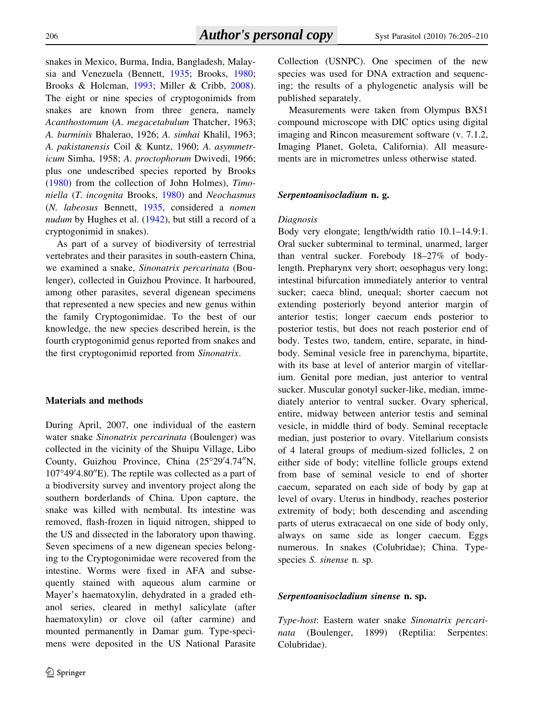snakes in Mexico, Burma, India, Bangladesh, Malaysia and Venezuela (Bennett, [1935](#page-6-0); Brooks, [1980](#page-6-0); Brooks & Holcman, [1993;](#page-6-0) Miller & Cribb, [2008](#page-6-0)). The eight or nine species of cryptogonimids from snakes are known from three genera, namely Acanthostomum (A. megacetabulum Thatcher, 1963; A. burminis Bhalerao, 1926; A. simhai Khalil, 1963; A. pakistanensis Coil & Kuntz, 1960; A. asymmetricum Simha, 1958; A. proctophorum Dwivedi, 1966; plus one undescribed species reported by Brooks [\(1980](#page-6-0)) from the collection of John Holmes), Timoniella (T. incognita Brooks, [1980\)](#page-6-0) and Neochasmus (N. labeosus Bennett, [1935,](#page-6-0) considered a nomen nudum by Hughes et al. ([1942\)](#page-6-0), but still a record of a cryptogonimid in snakes).

As part of a survey of biodiversity of terrestrial vertebrates and their parasites in south-eastern China, we examined a snake, Sinonatrix percarinata (Boulenger), collected in Guizhou Province. It harboured, among other parasites, several digenean specimens that represented a new species and new genus within the family Cryptogonimidae. To the best of our knowledge, the new species described herein, is the fourth cryptogonimid genus reported from snakes and the first cryptogonimid reported from Sinonatrix.

# Materials and methods

During April, 2007, one individual of the eastern water snake Sinonatrix percarinata (Boulenger) was collected in the vicinity of the Shuipu Village, Libo County, Guizhou Province, China (25°29'4.74"N, 107°49′4.80″E). The reptile was collected as a part of a biodiversity survey and inventory project along the southern borderlands of China. Upon capture, the snake was killed with nembutal. Its intestine was removed, flash-frozen in liquid nitrogen, shipped to the US and dissected in the laboratory upon thawing. Seven specimens of a new digenean species belonging to the Cryptogonimidae were recovered from the intestine. Worms were fixed in AFA and subsequently stained with aqueous alum carmine or Mayer's haematoxylin, dehydrated in a graded ethanol series, cleared in methyl salicylate (after haematoxylin) or clove oil (after carmine) and mounted permanently in Damar gum. Type-specimens were deposited in the US National Parasite Collection (USNPC). One specimen of the new species was used for DNA extraction and sequencing; the results of a phylogenetic analysis will be published separately.

Measurements were taken from Olympus BX51 compound microscope with DIC optics using digital imaging and Rincon measurement software (v. 7.1.2, Imaging Planet, Goleta, California). All measurements are in micrometres unless otherwise stated.

# Serpentoanisocladium n. g.

# Diagnosis

Body very elongate; length/width ratio 10.1–14.9:1. Oral sucker subterminal to terminal, unarmed, larger than ventral sucker. Forebody 18–27% of bodylength. Prepharynx very short; oesophagus very long; intestinal bifurcation immediately anterior to ventral sucker; caeca blind, unequal; shorter caecum not extending posteriorly beyond anterior margin of anterior testis; longer caecum ends posterior to posterior testis, but does not reach posterior end of body. Testes two, tandem, entire, separate, in hindbody. Seminal vesicle free in parenchyma, bipartite, with its base at level of anterior margin of vitellarium. Genital pore median, just anterior to ventral sucker. Muscular gonotyl sucker-like, median, immediately anterior to ventral sucker. Ovary spherical, entire, midway between anterior testis and seminal vesicle, in middle third of body. Seminal receptacle median, just posterior to ovary. Vitellarium consists of 4 lateral groups of medium-sized follicles, 2 on either side of body; vitelline follicle groups extend from base of seminal vesicle to end of shorter caecum, separated on each side of body by gap at level of ovary. Uterus in hindbody, reaches posterior extremity of body; both descending and ascending parts of uterus extracaecal on one side of body only, always on same side as longer caecum. Eggs numerous. In snakes (Colubridae); China. Typespecies S. sinense n. sp.

#### Serpentoanisocladium sinense n. sp.

Type-host: Eastern water snake Sinonatrix percarinata (Boulenger, 1899) (Reptilia: Serpentes: Colubridae).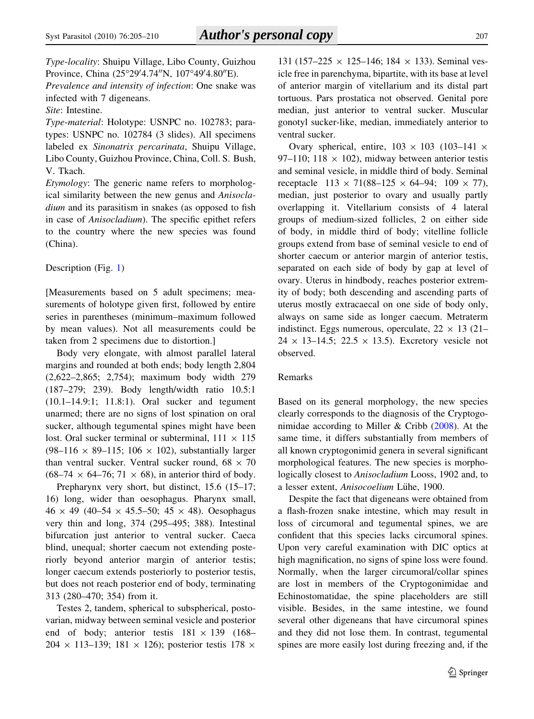Type-locality: Shuipu Village, Libo County, Guizhou Province, China (25°29'4.74"N, 107°49'4.80"E).

Prevalence and intensity of infection: One snake was infected with 7 digeneans.

Site: Intestine.

Type-material: Holotype: USNPC no. 102783; paratypes: USNPC no. 102784 (3 slides). All specimens labeled ex Sinonatrix percarinata, Shuipu Village, Libo County, Guizhou Province, China, Coll. S. Bush, V. Tkach.

Etymology: The generic name refers to morphological similarity between the new genus and Anisocladium and its parasitism in snakes (as opposed to fish in case of Anisocladium). The specific epithet refers to the country where the new species was found (China).

#### Description (Fig. [1](#page-4-0))

[Measurements based on 5 adult specimens; measurements of holotype given first, followed by entire series in parentheses (minimum–maximum followed by mean values). Not all measurements could be taken from 2 specimens due to distortion.]

Body very elongate, with almost parallel lateral margins and rounded at both ends; body length 2,804 (2,622–2,865; 2,754); maximum body width 279 (187–279; 239). Body length/width ratio 10.5:1 (10.1–14.9:1; 11.8:1). Oral sucker and tegument unarmed; there are no signs of lost spination on oral sucker, although tegumental spines might have been lost. Oral sucker terminal or subterminal,  $111 \times 115$  $(98-116 \times 89-115; 106 \times 102)$ , substantially larger than ventral sucker. Ventral sucker round,  $68 \times 70$  $(68–74 \times 64–76; 71 \times 68)$ , in anterior third of body.

Prepharynx very short, but distinct, 15.6 (15–17; 16) long, wider than oesophagus. Pharynx small,  $46 \times 49$  (40–54  $\times$  45.5–50; 45  $\times$  48). Oesophagus very thin and long, 374 (295–495; 388). Intestinal bifurcation just anterior to ventral sucker. Caeca blind, unequal; shorter caecum not extending posteriorly beyond anterior margin of anterior testis; longer caecum extends posteriorly to posterior testis, but does not reach posterior end of body, terminating 313 (280–470; 354) from it.

Testes 2, tandem, spherical to subspherical, postovarian, midway between seminal vesicle and posterior end of body; anterior testis  $181 \times 139$  (168–  $204 \times 113$ –139; 181  $\times$  126); posterior testis 178  $\times$ 

131 (157–225  $\times$  125–146; 184  $\times$  133). Seminal vesicle free in parenchyma, bipartite, with its base at level of anterior margin of vitellarium and its distal part tortuous. Pars prostatica not observed. Genital pore median, just anterior to ventral sucker. Muscular gonotyl sucker-like, median, immediately anterior to ventral sucker.

Ovary spherical, entire,  $103 \times 103$  (103–141  $\times$ 97–110; 118  $\times$  102), midway between anterior testis and seminal vesicle, in middle third of body. Seminal receptacle  $113 \times 71(88–125 \times 64–94; 109 \times 77)$ , median, just posterior to ovary and usually partly overlapping it. Vitellarium consists of 4 lateral groups of medium-sized follicles, 2 on either side of body, in middle third of body; vitelline follicle groups extend from base of seminal vesicle to end of shorter caecum or anterior margin of anterior testis, separated on each side of body by gap at level of ovary. Uterus in hindbody, reaches posterior extremity of body; both descending and ascending parts of uterus mostly extracaecal on one side of body only, always on same side as longer caecum. Metraterm indistinct. Eggs numerous, operculate,  $22 \times 13$  (21–  $24 \times 13$ –14.5; 22.5  $\times$  13.5). Excretory vesicle not observed.

## Remarks

Based on its general morphology, the new species clearly corresponds to the diagnosis of the Cryptogonimidae according to Miller & Cribb [\(2008](#page-6-0)). At the same time, it differs substantially from members of all known cryptogonimid genera in several significant morphological features. The new species is morphologically closest to Anisocladium Looss, 1902 and, to a lesser extent, Anisocoelium Lühe, 1900.

Despite the fact that digeneans were obtained from a flash-frozen snake intestine, which may result in loss of circumoral and tegumental spines, we are confident that this species lacks circumoral spines. Upon very careful examination with DIC optics at high magnification, no signs of spine loss were found. Normally, when the larger circumoral/collar spines are lost in members of the Cryptogonimidae and Echinostomatidae, the spine placeholders are still visible. Besides, in the same intestine, we found several other digeneans that have circumoral spines and they did not lose them. In contrast, tegumental spines are more easily lost during freezing and, if the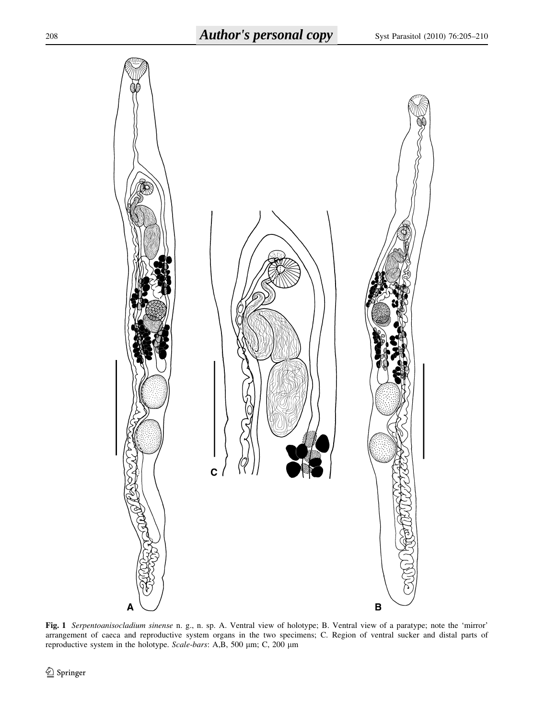<span id="page-4-0"></span>

Fig. 1 Serpentoanisocladium sinense n. g., n. sp. A. Ventral view of holotype; B. Ventral view of a paratype; note the 'mirror' arrangement of caeca and reproductive system organs in the two specimens; C. Region of ventral sucker and distal parts of reproductive system in the holotype. Scale-bars: A,B, 500 µm; C, 200 µm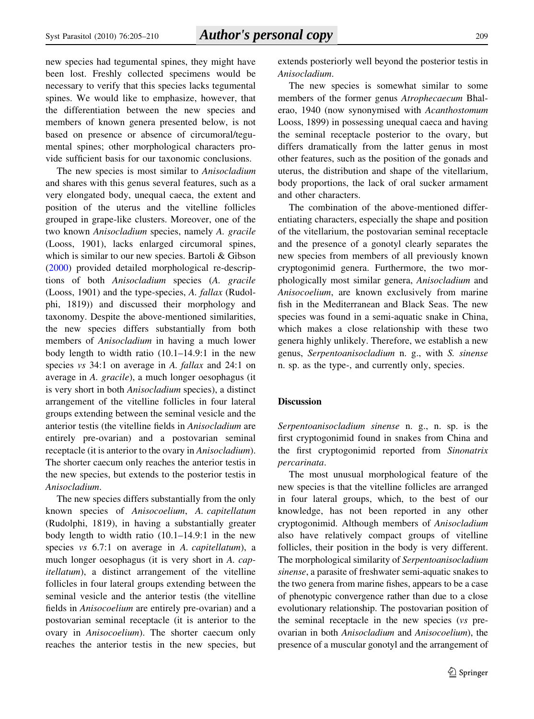new species had tegumental spines, they might have been lost. Freshly collected specimens would be necessary to verify that this species lacks tegumental spines. We would like to emphasize, however, that the differentiation between the new species and members of known genera presented below, is not based on presence or absence of circumoral/tegumental spines; other morphological characters provide sufficient basis for our taxonomic conclusions.

The new species is most similar to Anisocladium and shares with this genus several features, such as a very elongated body, unequal caeca, the extent and position of the uterus and the vitelline follicles grouped in grape-like clusters. Moreover, one of the two known Anisocladium species, namely A. gracile (Looss, 1901), lacks enlarged circumoral spines, which is similar to our new species. Bartoli & Gibson [\(2000](#page-6-0)) provided detailed morphological re-descriptions of both Anisocladium species (A. gracile (Looss, 1901) and the type-species, A. fallax (Rudolphi, 1819)) and discussed their morphology and taxonomy. Despite the above-mentioned similarities, the new species differs substantially from both members of Anisocladium in having a much lower body length to width ratio (10.1–14.9:1 in the new species vs 34:1 on average in A. fallax and 24:1 on average in A. gracile), a much longer oesophagus (it is very short in both Anisocladium species), a distinct arrangement of the vitelline follicles in four lateral groups extending between the seminal vesicle and the anterior testis (the vitelline fields in Anisocladium are entirely pre-ovarian) and a postovarian seminal receptacle (it is anterior to the ovary in Anisocladium). The shorter caecum only reaches the anterior testis in the new species, but extends to the posterior testis in Anisocladium.

The new species differs substantially from the only known species of Anisocoelium, A. capitellatum (Rudolphi, 1819), in having a substantially greater body length to width ratio (10.1–14.9:1 in the new species vs 6.7:1 on average in A. capitellatum), a much longer oesophagus (it is very short in A. capitellatum), a distinct arrangement of the vitelline follicles in four lateral groups extending between the seminal vesicle and the anterior testis (the vitelline fields in Anisocoelium are entirely pre-ovarian) and a postovarian seminal receptacle (it is anterior to the ovary in Anisocoelium). The shorter caecum only reaches the anterior testis in the new species, but extends posteriorly well beyond the posterior testis in Anisocladium.

The new species is somewhat similar to some members of the former genus Atrophecaecum Bhalerao, 1940 (now synonymised with Acanthostomum Looss, 1899) in possessing unequal caeca and having the seminal receptacle posterior to the ovary, but differs dramatically from the latter genus in most other features, such as the position of the gonads and uterus, the distribution and shape of the vitellarium, body proportions, the lack of oral sucker armament and other characters.

The combination of the above-mentioned differentiating characters, especially the shape and position of the vitellarium, the postovarian seminal receptacle and the presence of a gonotyl clearly separates the new species from members of all previously known cryptogonimid genera. Furthermore, the two morphologically most similar genera, Anisocladium and Anisocoelium, are known exclusively from marine fish in the Mediterranean and Black Seas. The new species was found in a semi-aquatic snake in China, which makes a close relationship with these two genera highly unlikely. Therefore, we establish a new genus, Serpentoanisocladium n. g., with S. sinense n. sp. as the type-, and currently only, species.

# **Discussion**

Serpentoanisocladium sinense n. g., n. sp. is the first cryptogonimid found in snakes from China and the first cryptogonimid reported from Sinonatrix percarinata.

The most unusual morphological feature of the new species is that the vitelline follicles are arranged in four lateral groups, which, to the best of our knowledge, has not been reported in any other cryptogonimid. Although members of Anisocladium also have relatively compact groups of vitelline follicles, their position in the body is very different. The morphological similarity of Serpentoanisocladium sinense, a parasite of freshwater semi-aquatic snakes to the two genera from marine fishes, appears to be a case of phenotypic convergence rather than due to a close evolutionary relationship. The postovarian position of the seminal receptacle in the new species (vs preovarian in both Anisocladium and Anisocoelium), the presence of a muscular gonotyl and the arrangement of